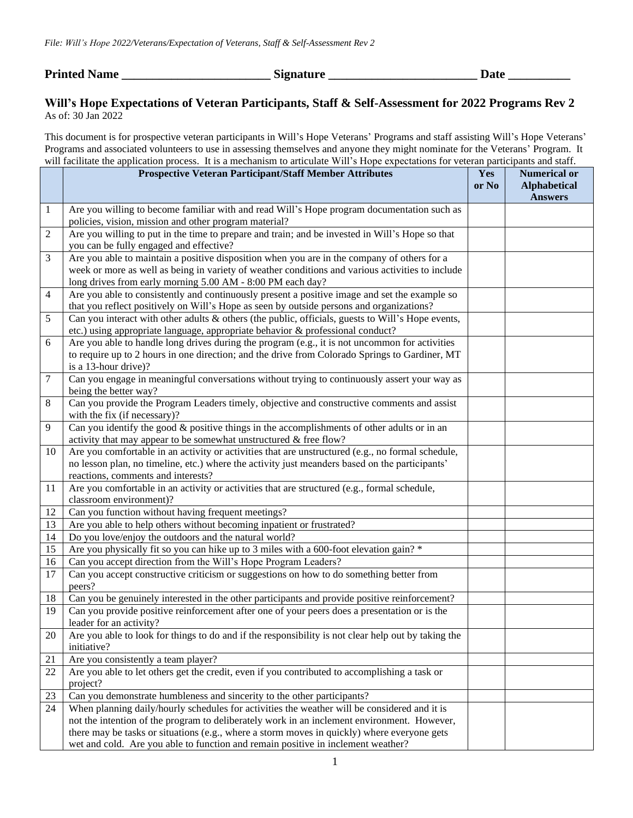**Printed Name \_\_\_\_\_\_\_\_\_\_\_\_\_\_\_\_\_\_\_\_\_\_\_\_ Signature \_\_\_\_\_\_\_\_\_\_\_\_\_\_\_\_\_\_\_\_\_\_\_\_ Date \_\_\_\_\_\_\_\_\_\_**

## **Will's Hope Expectations of Veteran Participants, Staff & Self-Assessment for 2022 Programs Rev 2** As of: 30 Jan 2022

This document is for prospective veteran participants in Will's Hope Veterans' Programs and staff assisting Will's Hope Veterans' Programs and associated volunteers to use in assessing themselves and anyone they might nominate for the Veterans' Program. It will facilitate the application process. It is a mechanism to articulate Will's Hope expectations for veteran participants and staff.

|                | <b>Prospective Veteran Participant/Staff Member Attributes</b>                                                                                                                                                                                                                                                                                                                 | Yes<br>or No | <b>Numerical or</b><br><b>Alphabetical</b><br><b>Answers</b> |
|----------------|--------------------------------------------------------------------------------------------------------------------------------------------------------------------------------------------------------------------------------------------------------------------------------------------------------------------------------------------------------------------------------|--------------|--------------------------------------------------------------|
| 1              | Are you willing to become familiar with and read Will's Hope program documentation such as<br>policies, vision, mission and other program material?                                                                                                                                                                                                                            |              |                                                              |
| 2              | Are you willing to put in the time to prepare and train; and be invested in Will's Hope so that<br>you can be fully engaged and effective?                                                                                                                                                                                                                                     |              |                                                              |
| 3              | Are you able to maintain a positive disposition when you are in the company of others for a<br>week or more as well as being in variety of weather conditions and various activities to include<br>long drives from early morning 5.00 AM - 8:00 PM each day?                                                                                                                  |              |                                                              |
| $\overline{4}$ | Are you able to consistently and continuously present a positive image and set the example so<br>that you reflect positively on Will's Hope as seen by outside persons and organizations?                                                                                                                                                                                      |              |                                                              |
| 5              | Can you interact with other adults & others (the public, officials, guests to Will's Hope events,<br>etc.) using appropriate language, appropriate behavior & professional conduct?                                                                                                                                                                                            |              |                                                              |
| 6              | Are you able to handle long drives during the program (e.g., it is not uncommon for activities<br>to require up to 2 hours in one direction; and the drive from Colorado Springs to Gardiner, MT<br>is a 13-hour drive)?                                                                                                                                                       |              |                                                              |
| $\tau$         | Can you engage in meaningful conversations without trying to continuously assert your way as<br>being the better way?                                                                                                                                                                                                                                                          |              |                                                              |
| 8              | Can you provide the Program Leaders timely, objective and constructive comments and assist<br>with the fix (if necessary)?                                                                                                                                                                                                                                                     |              |                                                              |
| 9              | Can you identify the good $\&$ positive things in the accomplishments of other adults or in an<br>activity that may appear to be somewhat unstructured & free flow?                                                                                                                                                                                                            |              |                                                              |
| 10             | Are you comfortable in an activity or activities that are unstructured (e.g., no formal schedule,<br>no lesson plan, no timeline, etc.) where the activity just meanders based on the participants'<br>reactions, comments and interests?                                                                                                                                      |              |                                                              |
| 11             | Are you comfortable in an activity or activities that are structured (e.g., formal schedule,<br>classroom environment)?                                                                                                                                                                                                                                                        |              |                                                              |
| 12             | Can you function without having frequent meetings?                                                                                                                                                                                                                                                                                                                             |              |                                                              |
| 13             | Are you able to help others without becoming inpatient or frustrated?                                                                                                                                                                                                                                                                                                          |              |                                                              |
| 14             | Do you love/enjoy the outdoors and the natural world?                                                                                                                                                                                                                                                                                                                          |              |                                                              |
| 15             | Are you physically fit so you can hike up to 3 miles with a 600-foot elevation gain? *                                                                                                                                                                                                                                                                                         |              |                                                              |
| 16             | Can you accept direction from the Will's Hope Program Leaders?                                                                                                                                                                                                                                                                                                                 |              |                                                              |
| 17             | Can you accept constructive criticism or suggestions on how to do something better from<br>peers?                                                                                                                                                                                                                                                                              |              |                                                              |
| 18             | Can you be genuinely interested in the other participants and provide positive reinforcement?                                                                                                                                                                                                                                                                                  |              |                                                              |
| 19             | Can you provide positive reinforcement after one of your peers does a presentation or is the<br>leader for an activity?                                                                                                                                                                                                                                                        |              |                                                              |
| 20             | Are you able to look for things to do and if the responsibility is not clear help out by taking the<br>initiative?                                                                                                                                                                                                                                                             |              |                                                              |
| 21             | Are you consistently a team player?                                                                                                                                                                                                                                                                                                                                            |              |                                                              |
| 22             | Are you able to let others get the credit, even if you contributed to accomplishing a task or<br>project?                                                                                                                                                                                                                                                                      |              |                                                              |
| 23             | Can you demonstrate humbleness and sincerity to the other participants?                                                                                                                                                                                                                                                                                                        |              |                                                              |
| 24             | When planning daily/hourly schedules for activities the weather will be considered and it is<br>not the intention of the program to deliberately work in an inclement environment. However,<br>there may be tasks or situations (e.g., where a storm moves in quickly) where everyone gets<br>wet and cold. Are you able to function and remain positive in inclement weather? |              |                                                              |